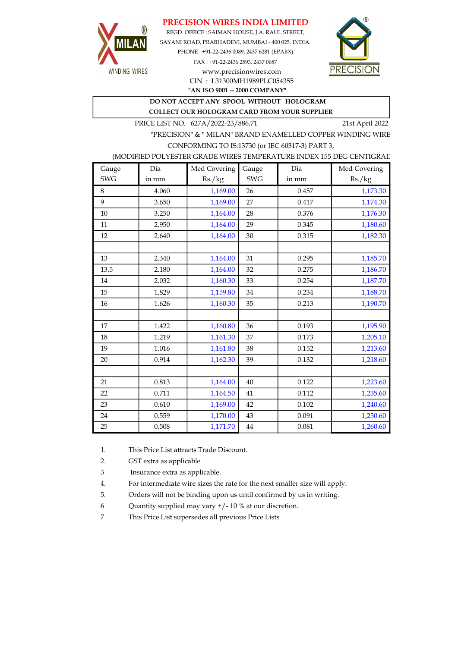# PRECISION WIRES INDIA LIMITED



REGD. OFFICE : SAIMAN HOUSE, J.A. RAUL STREET, SAYANI ROAD, PRABHADEVI, MUMBAI - 400 025. INDIA. PHONE : +91-22-2436 0089, 2437 6281 (EPABX) FAX : +91-22-2436 2593, 2437 0687 www.precisionwires.com



"AN ISO 9001 -- 2000 COMPANY" CIN : L31300MH1989PLC054355

DO NOT ACCEPT ANY SPOOL WITHOUT HOLOGRAM

COLLECT OUR HOLOGRAM CARD FROM YOUR SUPPLIER

PRICE LIST NO. 627A/2022-23/886.71 21st April 2022

"PRECISION" & " MILAN" BRAND ENAMELLED COPPER WINDING WIRE CONFORMING TO IS:13730 (or IEC 60317-3) PART 3,

(MODIFIED POLYESTER GRADE WIRES TEMPERATURE INDEX 155 DEG CENTIGRAD

| Gauge      | Dia   | Med Covering | Gauge      | Dia   | Med Covering |
|------------|-------|--------------|------------|-------|--------------|
| <b>SWG</b> | in mm | Rs./kg       | <b>SWG</b> | in mm | Rs./kg       |
| 8          | 4.060 | 1,169.00     | 26         | 0.457 | 1,173.30     |
| 9          | 3.650 | 1,169.00     | 27         | 0.417 | 1,174.30     |
| 10         | 3.250 | 1,164.00     | 28         | 0.376 | 1,176.30     |
| 11         | 2.950 | 1,164.00     | 29         | 0.345 | 1,180.60     |
| 12         | 2.640 | 1,164.00     | 30         | 0.315 | 1,182.30     |
|            |       |              |            |       |              |
| 13         | 2.340 | 1,164.00     | 31         | 0.295 | 1,185.70     |
| 13.5       | 2.180 | 1,164.00     | 32         | 0.275 | 1,186.70     |
| 14         | 2.032 | 1,160.30     | 33         | 0.254 | 1,187.70     |
| 15         | 1.829 | 1,159.80     | 34         | 0.234 | 1,188.70     |
| 16         | 1.626 | 1,160.30     | 35         | 0.213 | 1,190.70     |
|            |       |              |            |       |              |
| 17         | 1.422 | 1,160.80     | 36         | 0.193 | 1,195.90     |
| 18         | 1.219 | 1,161.30     | 37         | 0.173 | 1,205.10     |
| 19         | 1.016 | 1,161.80     | 38         | 0.152 | 1,213.60     |
| 20         | 0.914 | 1,162.30     | 39         | 0.132 | 1,218.60     |
|            |       |              |            |       |              |
| 21         | 0.813 | 1,164.00     | 40         | 0.122 | 1,223.60     |
| 22         | 0.711 | 1,164.50     | 41         | 0.112 | 1,235.60     |
| 23         | 0.610 | 1,169.00     | 42         | 0.102 | 1,240.60     |
| 24         | 0.559 | 1,170.00     | 43         | 0.091 | 1,250.60     |
| 25         | 0.508 | 1,171.70     | $\bf 44$   | 0.081 | 1,260.60     |

1. This Price List attracts Trade Discount.

2. GST extra as applicable

3 Insurance extra as applicable.

4. For intermediate wire sizes the rate for the next smaller size will apply.

5. Orders will not be binding upon us until confirmed by us in writing.

6 Quantity supplied may vary +/- 10 % at our discretion.

7 This Price List supersedes all previous Price Lists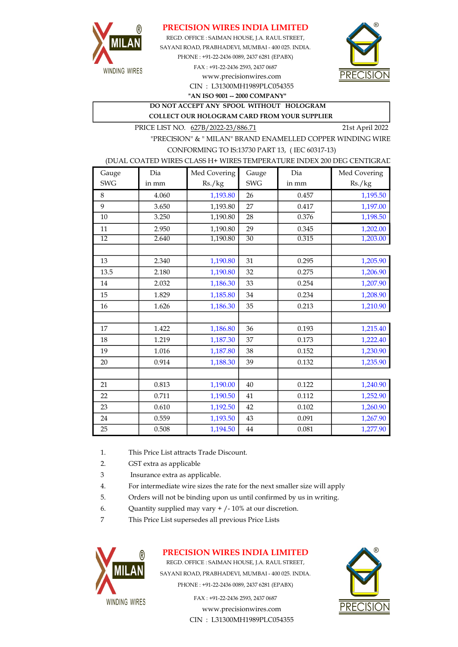

### PRECISION WIRES INDIA LIMITED

REGD. OFFICE : SAIMAN HOUSE, J.A. RAUL STREET, CIN : L31300MH1989PLC054355 SAYANI ROAD, PRABHADEVI, MUMBAI - 400 025. INDIA. PHONE : +91-22-2436 0089, 2437 6281 (EPABX) FAX : +91-22-2436 2593, 2437 0687 www.precisionwires.com



"AN ISO 9001 -- 2000 COMPANY"

DO NOT ACCEPT ANY SPOOL WITHOUT HOLOGRAM

COLLECT OUR HOLOGRAM CARD FROM YOUR SUPPLIER

PRICE LIST NO. 627B/2022-23/886.71 21st April 2022

"PRECISION" & " MILAN" BRAND ENAMELLED COPPER WINDING WIRE CONFORMING TO IS:13730 PART 13, ( IEC 60317-13)

#### (DUAL COATED WIRES CLASS H+ WIRES TEMPERATURE INDEX 200 DEG CENTIGRAD

| Gauge           | Dia   | Med Covering | Gauge           | Dia   | Med Covering |
|-----------------|-------|--------------|-----------------|-------|--------------|
| <b>SWG</b>      | in mm | Rs./kg       | <b>SWG</b>      | in mm | Rs./kg       |
| 8               | 4.060 | 1,193.80     | 26              | 0.457 | 1,195.50     |
| 9               | 3.650 | 1,193.80     | 27              | 0.417 | 1,197.00     |
| 10              | 3.250 | 1,190.80     | 28              | 0.376 | 1,198.50     |
| 11              | 2.950 | 1,190.80     | 29              | 0.345 | 1,202.00     |
| $\overline{12}$ | 2.640 | 1,190.80     | $\overline{30}$ | 0.315 | 1,203.00     |
|                 |       |              |                 |       |              |
| 13              | 2.340 | 1,190.80     | 31              | 0.295 | 1,205.90     |
| 13.5            | 2.180 | 1,190.80     | 32              | 0.275 | 1,206.90     |
| 14              | 2.032 | 1,186.30     | 33              | 0.254 | 1,207.90     |
| 15              | 1.829 | 1,185.80     | 34              | 0.234 | 1,208.90     |
| 16              | 1.626 | 1,186.30     | 35              | 0.213 | 1,210.90     |
|                 |       |              |                 |       |              |
| 17              | 1.422 | 1,186.80     | 36              | 0.193 | 1,215.40     |
| 18              | 1.219 | 1,187.30     | 37              | 0.173 | 1,222.40     |
| 19              | 1.016 | 1,187.80     | 38              | 0.152 | 1,230.90     |
| 20              | 0.914 | 1,188.30     | 39              | 0.132 | 1,235.90     |
|                 |       |              |                 |       |              |
| 21              | 0.813 | 1,190.00     | 40              | 0.122 | 1,240.90     |
| 22              | 0.711 | 1,190.50     | 41              | 0.112 | 1,252.90     |
| 23              | 0.610 | 1,192.50     | 42              | 0.102 | 1,260.90     |
| 24              | 0.559 | 1,193.50     | 43              | 0.091 | 1,267.90     |
| 25              | 0.508 | 1,194.50     | 44              | 0.081 | 1,277.90     |

- 1. This Price List attracts Trade Discount.
- 2. GST extra as applicable
- 3 Insurance extra as applicable.
- 4. For intermediate wire sizes the rate for the next smaller size will apply
- 5. Orders will not be binding upon us until confirmed by us in writing.
- 6. Quantity supplied may vary  $+/-10\%$  at our discretion.
- 7 This Price List supersedes all previous Price Lists



### PRECISION WIRES INDIA LIMITED

REGD. OFFICE : SAIMAN HOUSE, J.A. RAUL STREET, SAYANI ROAD, PRABHADEVI, MUMBAI - 400 025. INDIA. PHONE : +91-22-2436 0089, 2437 6281 (EPABX)

> www.precisionwires.com CIN : L31300MH1989PLC054355 FAX : +91-22-2436 2593, 2437 0687